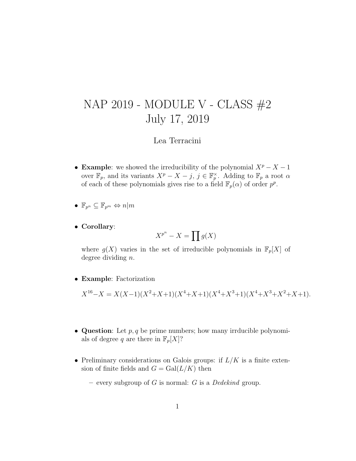## NAP 2019 - MODULE V - CLASS #2 July 17, 2019

## Lea Terracini

• Example: we showed the irreducibility of the polynomial  $X^p - X - 1$ over  $\mathbb{F}_p$ , and its variants  $X^p - X - j$ ,  $j \in \mathbb{F}_p^{\times}$ . Adding to  $\mathbb{F}_p$  a root  $\alpha$ of each of these polynomials gives rise to a field  $\mathbb{F}_p(\alpha)$  of order  $p^p$ .

$$
\bullet \ \mathbb{F}_{p^n} \subseteq \mathbb{F}_{p^m} \Leftrightarrow n|m
$$

• Corollary:

$$
X^{p^n} - X = \prod g(X)
$$

where  $g(X)$  varies in the set of irreducible polynomials in  $\mathbb{F}_p[X]$  of degree dividing n.

• Example: Factorization

 $X^{16}-X = X(X-1)(X^2+X+1)(X^4+X+1)(X^4+X^3+1)(X^4+X^3+X^2+X+1).$ 

- Question: Let  $p, q$  be prime numbers; how many irrducible polynomials of degree q are there in  $\mathbb{F}_p[X]$ ?
- Preliminary considerations on Galois groups: if  $L/K$  is a finite extension of finite fields and  $G = \text{Gal}(L/K)$  then
	- every subgroup of G is normal: G is a Dedekind group.